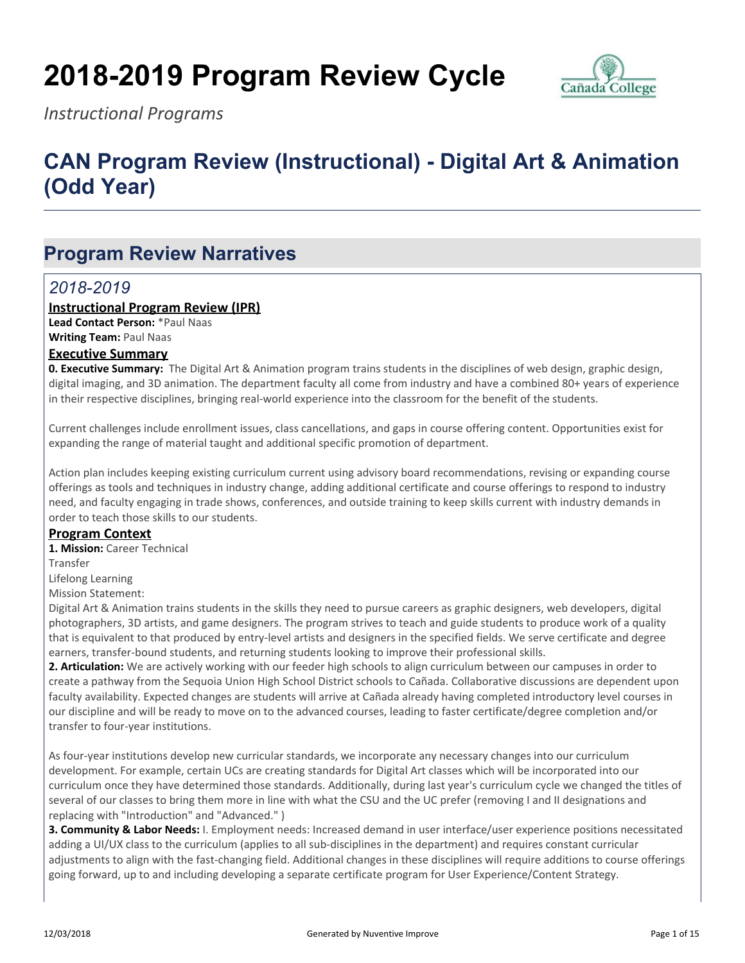# **2018-2019 Program Review Cycle**



*Instructional Programs*

# **CAN Program Review (Instructional) - Digital Art & Animation (Odd Year)**

# **Program Review Narratives**

#### *2018-2019*

#### **Instructional Program Review (IPR)**

**Lead Contact Person:** \*Paul Naas **Writing Team:** Paul Naas

#### **Executive Summary**

**0. Executive Summary:** The Digital Art & Animation program trains students in the disciplines of web design, graphic design, digital imaging, and 3D animation. The department faculty all come from industry and have a combined 80+ years of experience in their respective disciplines, bringing real-world experience into the classroom for the benefit of the students.

Current challenges include enrollment issues, class cancellations, and gaps in course offering content. Opportunities exist for expanding the range of material taught and additional specific promotion of department.

Action plan includes keeping existing curriculum current using advisory board recommendations, revising or expanding course offerings as tools and techniques in industry change, adding additional certificate and course offerings to respond to industry need, and faculty engaging in trade shows, conferences, and outside training to keep skills current with industry demands in order to teach those skills to our students.

#### **Program Context**

**1. Mission:** Career Technical

Transfer

Lifelong Learning

Mission Statement:

Digital Art & Animation trains students in the skills they need to pursue careers as graphic designers, web developers, digital photographers, 3D artists, and game designers. The program strives to teach and guide students to produce work of a quality that is equivalent to that produced by entry-level artists and designers in the specified fields. We serve certificate and degree earners, transfer-bound students, and returning students looking to improve their professional skills.

**2. Articulation:** We are actively working with our feeder high schools to align curriculum between our campuses in order to create a pathway from the Sequoia Union High School District schools to Cañada. Collaborative discussions are dependent upon faculty availability. Expected changes are students will arrive at Cañada already having completed introductory level courses in our discipline and will be ready to move on to the advanced courses, leading to faster certificate/degree completion and/or transfer to four-year institutions.

As four-year institutions develop new curricular standards, we incorporate any necessary changes into our curriculum development. For example, certain UCs are creating standards for Digital Art classes which will be incorporated into our curriculum once they have determined those standards. Additionally, during last year's curriculum cycle we changed the titles of several of our classes to bring them more in line with what the CSU and the UC prefer (removing I and II designations and replacing with "Introduction" and "Advanced." )

**3. Community & Labor Needs:** I. Employment needs: Increased demand in user interface/user experience positions necessitated adding a UI/UX class to the curriculum (applies to all sub-disciplines in the department) and requires constant curricular adjustments to align with the fast-changing field. Additional changes in these disciplines will require additions to course offerings going forward, up to and including developing a separate certificate program for User Experience/Content Strategy.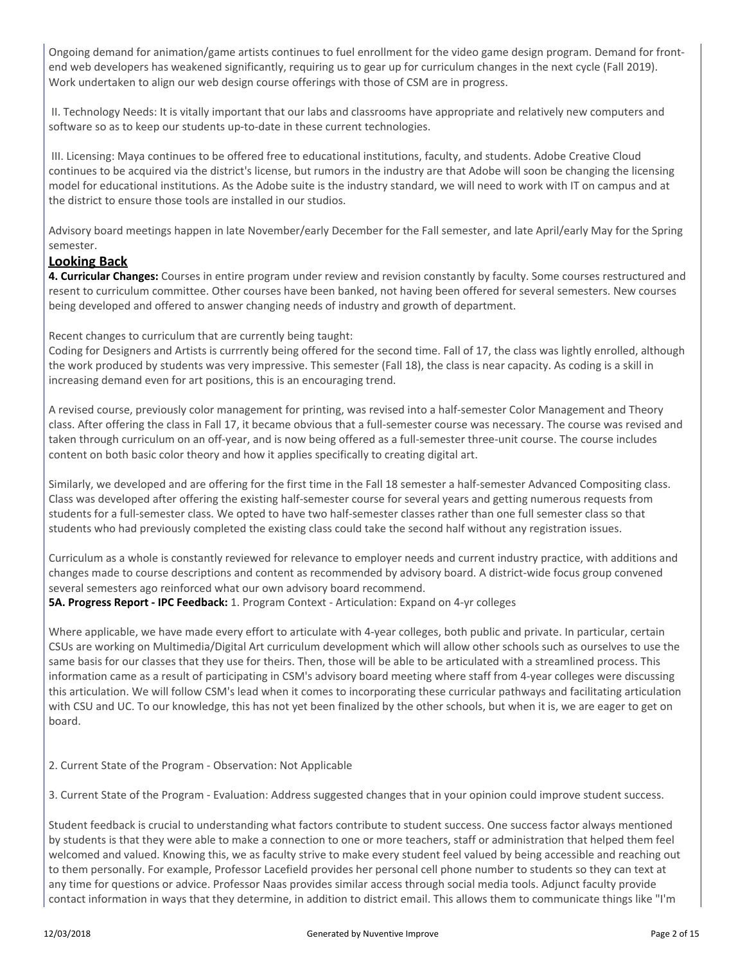Ongoing demand for animation/game artists continues to fuel enrollment for the video game design program. Demand for frontend web developers has weakened significantly, requiring us to gear up for curriculum changes in the next cycle (Fall 2019). Work undertaken to align our web design course offerings with those of CSM are in progress.

 II. Technology Needs: It is vitally important that our labs and classrooms have appropriate and relatively new computers and software so as to keep our students up-to-date in these current technologies.

 III. Licensing: Maya continues to be offered free to educational institutions, faculty, and students. Adobe Creative Cloud continues to be acquired via the district's license, but rumors in the industry are that Adobe will soon be changing the licensing model for educational institutions. As the Adobe suite is the industry standard, we will need to work with IT on campus and at the district to ensure those tools are installed in our studios.

Advisory board meetings happen in late November/early December for the Fall semester, and late April/early May for the Spring semester.

#### **Looking Back**

**4. Curricular Changes:** Courses in entire program under review and revision constantly by faculty. Some courses restructured and resent to curriculum committee. Other courses have been banked, not having been offered for several semesters. New courses being developed and offered to answer changing needs of industry and growth of department.

Recent changes to curriculum that are currently being taught:

Coding for Designers and Artists is currrently being offered for the second time. Fall of 17, the class was lightly enrolled, although the work produced by students was very impressive. This semester (Fall 18), the class is near capacity. As coding is a skill in increasing demand even for art positions, this is an encouraging trend.

A revised course, previously color management for printing, was revised into a half-semester Color Management and Theory class. After offering the class in Fall 17, it became obvious that a full-semester course was necessary. The course was revised and taken through curriculum on an off-year, and is now being offered as a full-semester three-unit course. The course includes content on both basic color theory and how it applies specifically to creating digital art.

Similarly, we developed and are offering for the first time in the Fall 18 semester a half-semester Advanced Compositing class. Class was developed after offering the existing half-semester course for several years and getting numerous requests from students for a full-semester class. We opted to have two half-semester classes rather than one full semester class so that students who had previously completed the existing class could take the second half without any registration issues.

Curriculum as a whole is constantly reviewed for relevance to employer needs and current industry practice, with additions and changes made to course descriptions and content as recommended by advisory board. A district-wide focus group convened several semesters ago reinforced what our own advisory board recommend.

**5A. Progress Report - IPC Feedback:** 1. Program Context - Articulation: Expand on 4-yr colleges

Where applicable, we have made every effort to articulate with 4-year colleges, both public and private. In particular, certain CSUs are working on Multimedia/Digital Art curriculum development which will allow other schools such as ourselves to use the same basis for our classes that they use for theirs. Then, those will be able to be articulated with a streamlined process. This information came as a result of participating in CSM's advisory board meeting where staff from 4-year colleges were discussing this articulation. We will follow CSM's lead when it comes to incorporating these curricular pathways and facilitating articulation with CSU and UC. To our knowledge, this has not yet been finalized by the other schools, but when it is, we are eager to get on board.

2. Current State of the Program - Observation: Not Applicable

3. Current State of the Program - Evaluation: Address suggested changes that in your opinion could improve student success.

Student feedback is crucial to understanding what factors contribute to student success. One success factor always mentioned by students is that they were able to make a connection to one or more teachers, staff or administration that helped them feel welcomed and valued. Knowing this, we as faculty strive to make every student feel valued by being accessible and reaching out to them personally. For example, Professor Lacefield provides her personal cell phone number to students so they can text at any time for questions or advice. Professor Naas provides similar access through social media tools. Adjunct faculty provide contact information in ways that they determine, in addition to district email. This allows them to communicate things like "I'm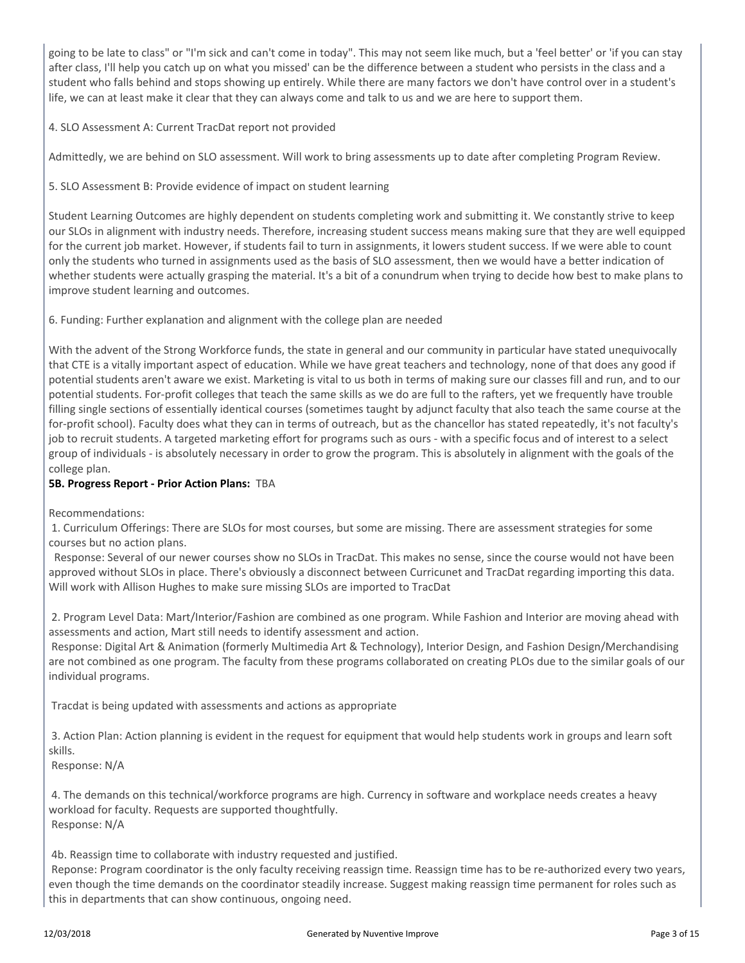going to be late to class" or "I'm sick and can't come in today". This may not seem like much, but a 'feel better' or 'if you can stay after class, I'll help you catch up on what you missed' can be the difference between a student who persists in the class and a student who falls behind and stops showing up entirely. While there are many factors we don't have control over in a student's life, we can at least make it clear that they can always come and talk to us and we are here to support them.

#### 4. SLO Assessment A: Current TracDat report not provided

Admittedly, we are behind on SLO assessment. Will work to bring assessments up to date after completing Program Review.

5. SLO Assessment B: Provide evidence of impact on student learning

Student Learning Outcomes are highly dependent on students completing work and submitting it. We constantly strive to keep our SLOs in alignment with industry needs. Therefore, increasing student success means making sure that they are well equipped for the current job market. However, if students fail to turn in assignments, it lowers student success. If we were able to count only the students who turned in assignments used as the basis of SLO assessment, then we would have a better indication of whether students were actually grasping the material. It's a bit of a conundrum when trying to decide how best to make plans to improve student learning and outcomes.

6. Funding: Further explanation and alignment with the college plan are needed

With the advent of the Strong Workforce funds, the state in general and our community in particular have stated unequivocally that CTE is a vitally important aspect of education. While we have great teachers and technology, none of that does any good if potential students aren't aware we exist. Marketing is vital to us both in terms of making sure our classes fill and run, and to our potential students. For-profit colleges that teach the same skills as we do are full to the rafters, yet we frequently have trouble filling single sections of essentially identical courses (sometimes taught by adjunct faculty that also teach the same course at the for-profit school). Faculty does what they can in terms of outreach, but as the chancellor has stated repeatedly, it's not faculty's job to recruit students. A targeted marketing effort for programs such as ours - with a specific focus and of interest to a select group of individuals - is absolutely necessary in order to grow the program. This is absolutely in alignment with the goals of the college plan.

#### **5B. Progress Report - Prior Action Plans:** TBA

Recommendations:

 1. Curriculum Offerings: There are SLOs for most courses, but some are missing. There are assessment strategies for some courses but no action plans.

 Response: Several of our newer courses show no SLOs in TracDat. This makes no sense, since the course would not have been approved without SLOs in place. There's obviously a disconnect between Curricunet and TracDat regarding importing this data. Will work with Allison Hughes to make sure missing SLOs are imported to TracDat

 2. Program Level Data: Mart/Interior/Fashion are combined as one program. While Fashion and Interior are moving ahead with assessments and action, Mart still needs to identify assessment and action.

 Response: Digital Art & Animation (formerly Multimedia Art & Technology), Interior Design, and Fashion Design/Merchandising are not combined as one program. The faculty from these programs collaborated on creating PLOs due to the similar goals of our individual programs.

Tracdat is being updated with assessments and actions as appropriate

 3. Action Plan: Action planning is evident in the request for equipment that would help students work in groups and learn soft skills.

Response: N/A

 4. The demands on this technical/workforce programs are high. Currency in software and workplace needs creates a heavy workload for faculty. Requests are supported thoughtfully. Response: N/A

4b. Reassign time to collaborate with industry requested and justified.

 Reponse: Program coordinator is the only faculty receiving reassign time. Reassign time has to be re-authorized every two years, even though the time demands on the coordinator steadily increase. Suggest making reassign time permanent for roles such as this in departments that can show continuous, ongoing need.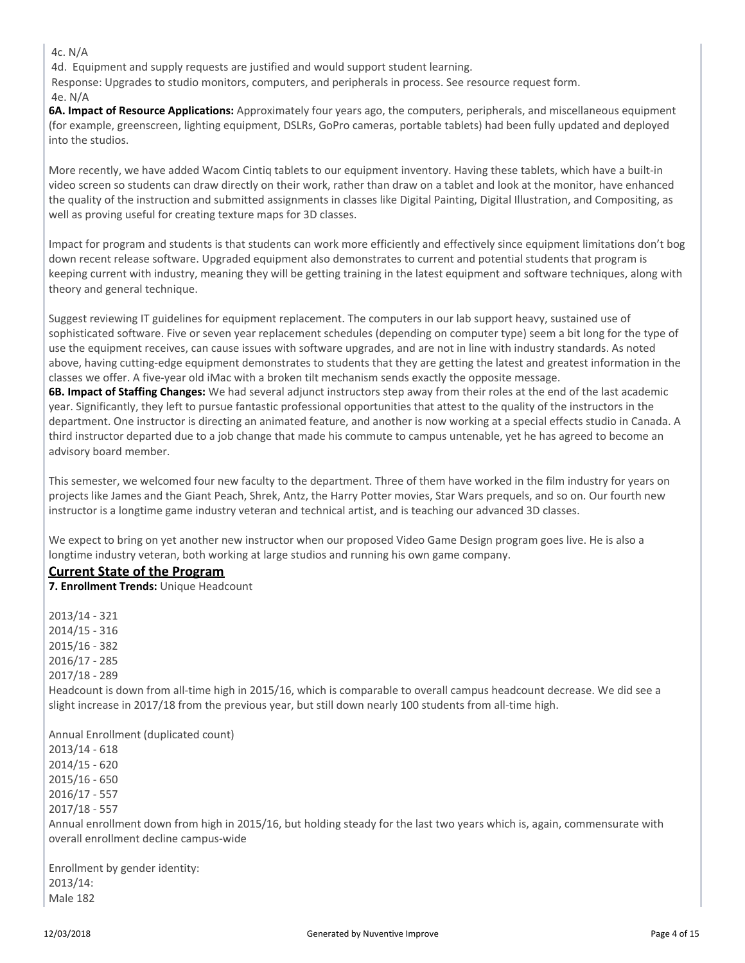4c. N/A

4d. Equipment and supply requests are justified and would support student learning.

Response: Upgrades to studio monitors, computers, and peripherals in process. See resource request form.

4e. N/A

**6A. Impact of Resource Applications:** Approximately four years ago, the computers, peripherals, and miscellaneous equipment (for example, greenscreen, lighting equipment, DSLRs, GoPro cameras, portable tablets) had been fully updated and deployed into the studios.

More recently, we have added Wacom Cintiq tablets to our equipment inventory. Having these tablets, which have a built-in video screen so students can draw directly on their work, rather than draw on a tablet and look at the monitor, have enhanced the quality of the instruction and submitted assignments in classes like Digital Painting, Digital Illustration, and Compositing, as well as proving useful for creating texture maps for 3D classes.

Impact for program and students is that students can work more efficiently and effectively since equipment limitations don't bog down recent release software. Upgraded equipment also demonstrates to current and potential students that program is keeping current with industry, meaning they will be getting training in the latest equipment and software techniques, along with theory and general technique.

Suggest reviewing IT guidelines for equipment replacement. The computers in our lab support heavy, sustained use of sophisticated software. Five or seven year replacement schedules (depending on computer type) seem a bit long for the type of use the equipment receives, can cause issues with software upgrades, and are not in line with industry standards. As noted above, having cutting-edge equipment demonstrates to students that they are getting the latest and greatest information in the classes we offer. A five-year old iMac with a broken tilt mechanism sends exactly the opposite message. **6B. Impact of Staffing Changes:** We had several adjunct instructors step away from their roles at the end of the last academic year. Significantly, they left to pursue fantastic professional opportunities that attest to the quality of the instructors in the department. One instructor is directing an animated feature, and another is now working at a special effects studio in Canada. A third instructor departed due to a job change that made his commute to campus untenable, yet he has agreed to become an advisory board member.

This semester, we welcomed four new faculty to the department. Three of them have worked in the film industry for years on projects like James and the Giant Peach, Shrek, Antz, the Harry Potter movies, Star Wars prequels, and so on. Our fourth new instructor is a longtime game industry veteran and technical artist, and is teaching our advanced 3D classes.

We expect to bring on yet another new instructor when our proposed Video Game Design program goes live. He is also a longtime industry veteran, both working at large studios and running his own game company.

#### **Current State of the Program**

**7. Enrollment Trends:** Unique Headcount

2013/14 - 321 2014/15 - 316 2015/16 - 382 2016/17 - 285 2017/18 - 289 Headcount is down from all-time high in 2015/16, which is comparable to overall campus headcount decrease. We did see a slight increase in 2017/18 from the previous year, but still down nearly 100 students from all-time high. Annual Enrollment (duplicated count) 2013/14 - 618 2014/15 - 620 2015/16 - 650 2016/17 - 557 2017/18 - 557 Annual enrollment down from high in 2015/16, but holding steady for the last two years which is, again, commensurate with overall enrollment decline campus-wide

Enrollment by gender identity: 2013/14: Male 182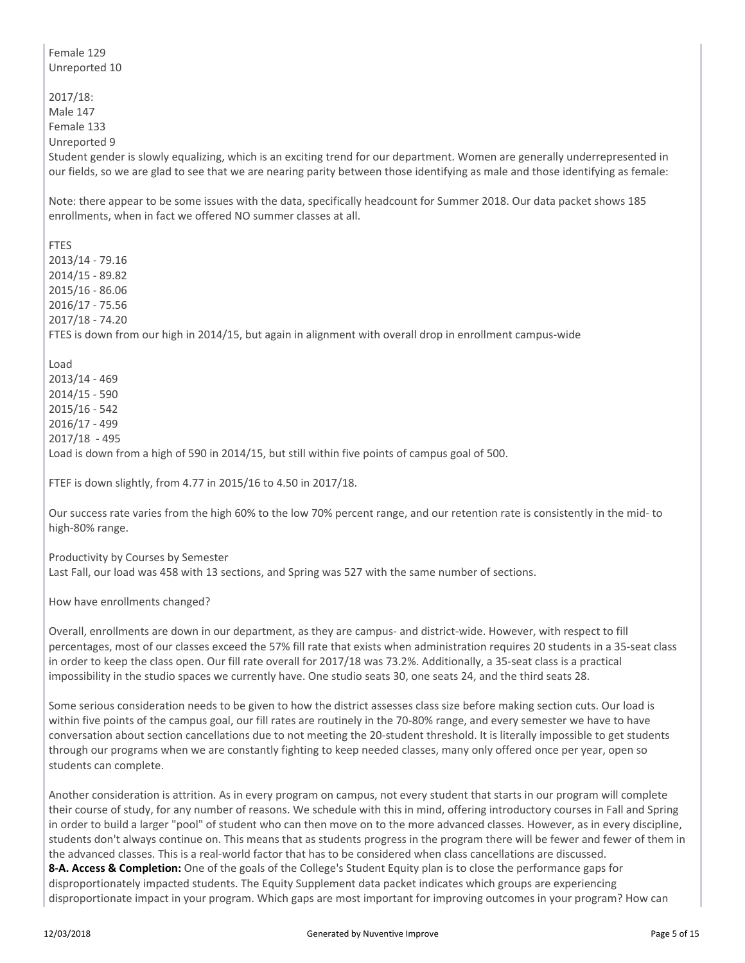Female 129 Unreported 10 2017/18: Male 147 Female 133 Unreported 9 Student gender is slowly equalizing, which is an exciting trend for our department. Women are generally underrepresented in our fields, so we are glad to see that we are nearing parity between those identifying as male and those identifying as female: Note: there appear to be some issues with the data, specifically headcount for Summer 2018. Our data packet shows 185 enrollments, when in fact we offered NO summer classes at all. FTES 2013/14 - 79.16 2014/15 - 89.82 2015/16 - 86.06 2016/17 - 75.56 2017/18 - 74.20 FTES is down from our high in 2014/15, but again in alignment with overall drop in enrollment campus-wide Load 2013/14 - 469 2014/15 - 590 2015/16 - 542 2016/17 - 499 2017/18 - 495 Load is down from a high of 590 in 2014/15, but still within five points of campus goal of 500. FTEF is down slightly, from 4.77 in 2015/16 to 4.50 in 2017/18. Our success rate varies from the high 60% to the low 70% percent range, and our retention rate is consistently in the mid- to high-80% range. Productivity by Courses by Semester Last Fall, our load was 458 with 13 sections, and Spring was 527 with the same number of sections. How have enrollments changed? Overall, enrollments are down in our department, as they are campus- and district-wide. However, with respect to fill percentages, most of our classes exceed the 57% fill rate that exists when administration requires 20 students in a 35-seat class in order to keep the class open. Our fill rate overall for 2017/18 was 73.2%. Additionally, a 35-seat class is a practical impossibility in the studio spaces we currently have. One studio seats 30, one seats 24, and the third seats 28. Some serious consideration needs to be given to how the district assesses class size before making section cuts. Our load is within five points of the campus goal, our fill rates are routinely in the 70-80% range, and every semester we have to have conversation about section cancellations due to not meeting the 20-student threshold. It is literally impossible to get students through our programs when we are constantly fighting to keep needed classes, many only offered once per year, open so students can complete. Another consideration is attrition. As in every program on campus, not every student that starts in our program will complete their course of study, for any number of reasons. We schedule with this in mind, offering introductory courses in Fall and Spring in order to build a larger "pool" of student who can then move on to the more advanced classes. However, as in every discipline, students don't always continue on. This means that as students progress in the program there will be fewer and fewer of them in the advanced classes. This is a real-world factor that has to be considered when class cancellations are discussed. **8-A. Access & Completion:** One of the goals of the College's Student Equity plan is to close the performance gaps for disproportionately impacted students. The Equity Supplement data packet indicates which groups are experiencing disproportionate impact in your program. Which gaps are most important for improving outcomes in your program? How can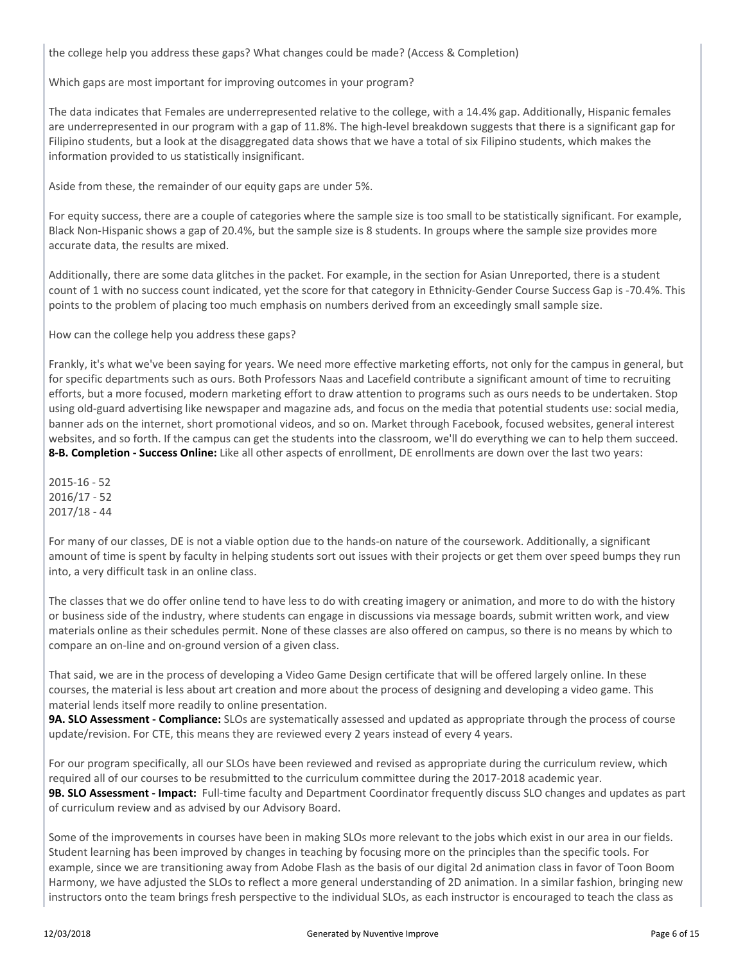the college help you address these gaps? What changes could be made? (Access & Completion)

Which gaps are most important for improving outcomes in your program?

The data indicates that Females are underrepresented relative to the college, with a 14.4% gap. Additionally, Hispanic females are underrepresented in our program with a gap of 11.8%. The high-level breakdown suggests that there is a significant gap for Filipino students, but a look at the disaggregated data shows that we have a total of six Filipino students, which makes the information provided to us statistically insignificant.

Aside from these, the remainder of our equity gaps are under 5%.

For equity success, there are a couple of categories where the sample size is too small to be statistically significant. For example, Black Non-Hispanic shows a gap of 20.4%, but the sample size is 8 students. In groups where the sample size provides more accurate data, the results are mixed.

Additionally, there are some data glitches in the packet. For example, in the section for Asian Unreported, there is a student count of 1 with no success count indicated, yet the score for that category in Ethnicity-Gender Course Success Gap is -70.4%. This points to the problem of placing too much emphasis on numbers derived from an exceedingly small sample size.

How can the college help you address these gaps?

Frankly, it's what we've been saying for years. We need more effective marketing efforts, not only for the campus in general, but for specific departments such as ours. Both Professors Naas and Lacefield contribute a significant amount of time to recruiting efforts, but a more focused, modern marketing effort to draw attention to programs such as ours needs to be undertaken. Stop using old-guard advertising like newspaper and magazine ads, and focus on the media that potential students use: social media, banner ads on the internet, short promotional videos, and so on. Market through Facebook, focused websites, general interest websites, and so forth. If the campus can get the students into the classroom, we'll do everything we can to help them succeed. **8-B. Completion - Success Online:** Like all other aspects of enrollment, DE enrollments are down over the last two years:

2015-16 - 52 2016/17 - 52 2017/18 - 44

For many of our classes, DE is not a viable option due to the hands-on nature of the coursework. Additionally, a significant amount of time is spent by faculty in helping students sort out issues with their projects or get them over speed bumps they run into, a very difficult task in an online class.

The classes that we do offer online tend to have less to do with creating imagery or animation, and more to do with the history or business side of the industry, where students can engage in discussions via message boards, submit written work, and view materials online as their schedules permit. None of these classes are also offered on campus, so there is no means by which to compare an on-line and on-ground version of a given class.

That said, we are in the process of developing a Video Game Design certificate that will be offered largely online. In these courses, the material is less about art creation and more about the process of designing and developing a video game. This material lends itself more readily to online presentation.

**9A. SLO Assessment - Compliance:** SLOs are systematically assessed and updated as appropriate through the process of course update/revision. For CTE, this means they are reviewed every 2 years instead of every 4 years.

For our program specifically, all our SLOs have been reviewed and revised as appropriate during the curriculum review, which required all of our courses to be resubmitted to the curriculum committee during the 2017-2018 academic year. **9B. SLO Assessment - Impact:** Full-time faculty and Department Coordinator frequently discuss SLO changes and updates as part of curriculum review and as advised by our Advisory Board.

Some of the improvements in courses have been in making SLOs more relevant to the jobs which exist in our area in our fields. Student learning has been improved by changes in teaching by focusing more on the principles than the specific tools. For example, since we are transitioning away from Adobe Flash as the basis of our digital 2d animation class in favor of Toon Boom Harmony, we have adjusted the SLOs to reflect a more general understanding of 2D animation. In a similar fashion, bringing new instructors onto the team brings fresh perspective to the individual SLOs, as each instructor is encouraged to teach the class as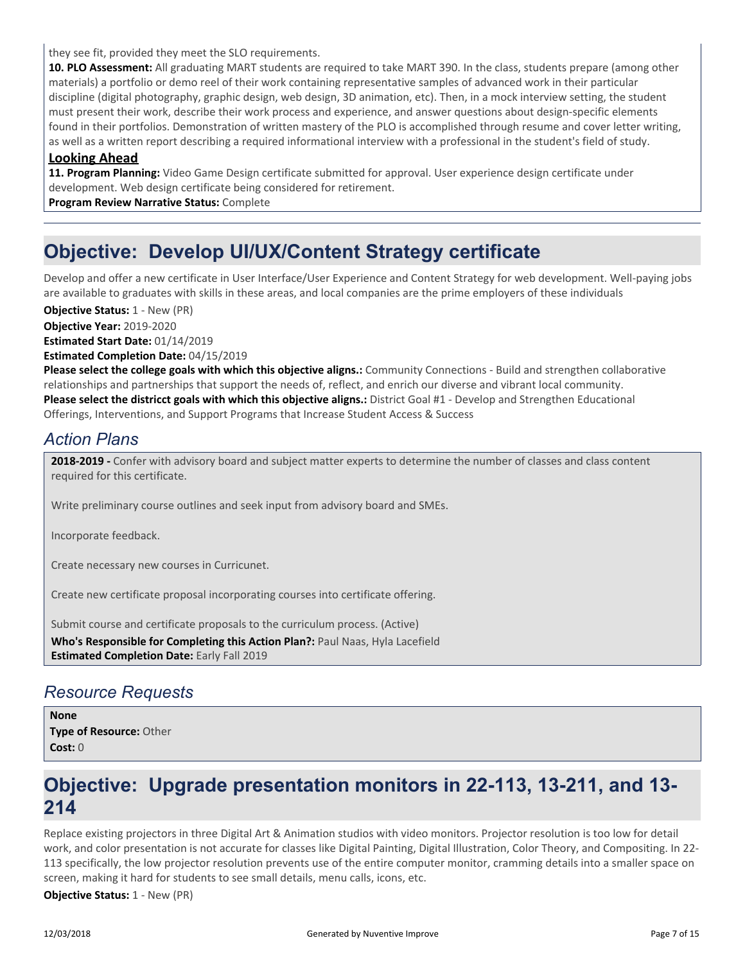they see fit, provided they meet the SLO requirements.

**10. PLO Assessment:** All graduating MART students are required to take MART 390. In the class, students prepare (among other materials) a portfolio or demo reel of their work containing representative samples of advanced work in their particular discipline (digital photography, graphic design, web design, 3D animation, etc). Then, in a mock interview setting, the student must present their work, describe their work process and experience, and answer questions about design-specific elements found in their portfolios. Demonstration of written mastery of the PLO is accomplished through resume and cover letter writing, as well as a written report describing a required informational interview with a professional in the student's field of study.

#### **Looking Ahead**

**11. Program Planning:** Video Game Design certificate submitted for approval. User experience design certificate under development. Web design certificate being considered for retirement.

**Program Review Narrative Status:** Complete

## **Objective: Develop UI/UX/Content Strategy certificate**

Develop and offer a new certificate in User Interface/User Experience and Content Strategy for web development. Well-paying jobs are available to graduates with skills in these areas, and local companies are the prime employers of these individuals

**Objective Year:** 2019-2020 **Estimated Start Date:** 01/14/2019 **Estimated Completion Date:** 04/15/2019 **Objective Status: 1 - New (PR)** 

**Please select the college goals with which this objective aligns.:** Community Connections - Build and strengthen collaborative relationships and partnerships that support the needs of, reflect, and enrich our diverse and vibrant local community. **Please select the districct goals with which this objective aligns.:** District Goal #1 - Develop and Strengthen Educational Offerings, Interventions, and Support Programs that Increase Student Access & Success

## *Action Plans*

**2018-2019 -** Confer with advisory board and subject matter experts to determine the number of classes and class content required for this certificate.

Write preliminary course outlines and seek input from advisory board and SMEs.

Incorporate feedback.

Create necessary new courses in Curricunet.

Create new certificate proposal incorporating courses into certificate offering.

Submit course and certificate proposals to the curriculum process. (Active)

**Who's Responsible for Completing this Action Plan?:** Paul Naas, Hyla Lacefield **Estimated Completion Date:** Early Fall 2019

### *Resource Requests*

**Type of Resource:** Other **Cost:** 0 **None**

## **Objective: Upgrade presentation monitors in 22-113, 13-211, and 13- 214**

Replace existing projectors in three Digital Art & Animation studios with video monitors. Projector resolution is too low for detail work, and color presentation is not accurate for classes like Digital Painting, Digital Illustration, Color Theory, and Compositing. In 22- 113 specifically, the low projector resolution prevents use of the entire computer monitor, cramming details into a smaller space on screen, making it hard for students to see small details, menu calls, icons, etc.

**Objective Status:** 1 - New (PR)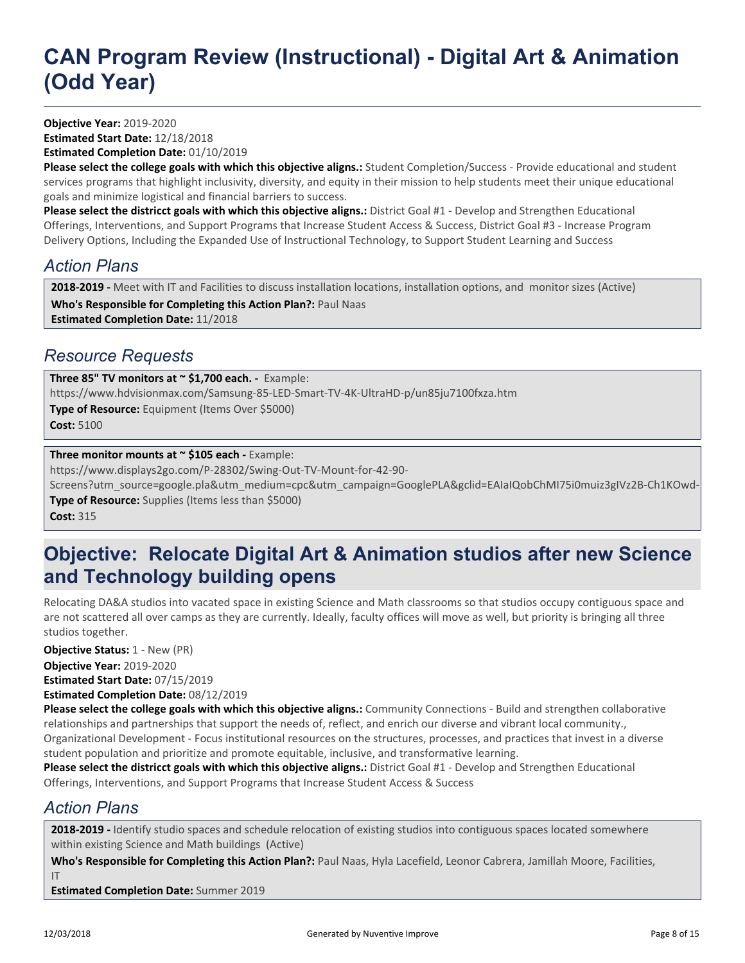**Objective Year:** 2019-2020 **Estimated Start Date:** 12/18/2018 **Estimated Completion Date:** 01/10/2019

**Please select the college goals with which this objective aligns.:** Student Completion/Success - Provide educational and student services programs that highlight inclusivity, diversity, and equity in their mission to help students meet their unique educational goals and minimize logistical and financial barriers to success.

**Please select the districct goals with which this objective aligns.:** District Goal #1 - Develop and Strengthen Educational Offerings, Interventions, and Support Programs that Increase Student Access & Success, District Goal #3 - Increase Program Delivery Options, Including the Expanded Use of Instructional Technology, to Support Student Learning and Success

## *Action Plans*

**Who's Responsible for Completing this Action Plan?:** Paul Naas **Estimated Completion Date:** 11/2018 **2018-2019 -** Meet with IT and Facilities to discuss installation locations, installation options, and monitor sizes (Active)

### *Resource Requests*

**Type of Resource:** Equipment (Items Over \$5000) **Cost:** 5100 **Three 85" TV monitors at ~ \$1,700 each. -** Example: https://www.hdvisionmax.com/Samsung-85-LED-Smart-TV-4K-UltraHD-p/un85ju7100fxza.htm

#### **Three monitor mounts at ~ \$105 each - Example:**

https://www.displays2go.com/P-28302/Swing-Out-TV-Mount-for-42-90-

**Type of Resource:** Supplies (Items less than \$5000) Screens?utm\_source=google.pla&utm\_medium=cpc&utm\_campaign=GooglePLA&gclid=EAIaIQobChMI75i0muiz3gIVz2B-Ch1KOwd-

**Cost:** 315

## **Objective: Relocate Digital Art & Animation studios after new Science and Technology building opens**

Relocating DA&A studios into vacated space in existing Science and Math classrooms so that studios occupy contiguous space and are not scattered all over camps as they are currently. Ideally, faculty offices will move as well, but priority is bringing all three studios together.

**Objective Year:** 2019-2020 **Estimated Start Date:** 07/15/2019 **Estimated Completion Date:** 08/12/2019 **Objective Status:** 1 - New (PR)

**Please select the college goals with which this objective aligns.:** Community Connections - Build and strengthen collaborative relationships and partnerships that support the needs of, reflect, and enrich our diverse and vibrant local community., Organizational Development - Focus institutional resources on the structures, processes, and practices that invest in a diverse student population and prioritize and promote equitable, inclusive, and transformative learning.

**Please select the districct goals with which this objective aligns.:** District Goal #1 - Develop and Strengthen Educational Offerings, Interventions, and Support Programs that Increase Student Access & Success

## *Action Plans*

**2018-2019 -** Identify studio spaces and schedule relocation of existing studios into contiguous spaces located somewhere within existing Science and Math buildings (Active)

**Who's Responsible for Completing this Action Plan?:** Paul Naas, Hyla Lacefield, Leonor Cabrera, Jamillah Moore, Facilities, IT

**Estimated Completion Date:** Summer 2019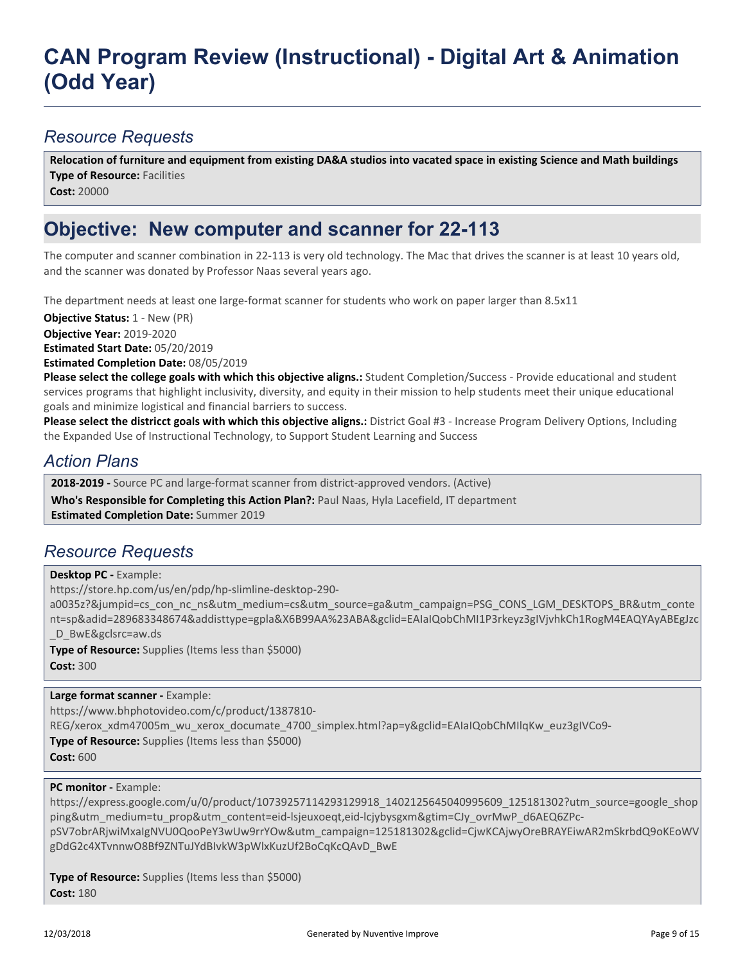### *Resource Requests*

**Type of Resource: Facilities Cost:** 20000 **Relocation of furniture and equipment from existing DA&A studios into vacated space in existing Science and Math buildings**

## **Objective: New computer and scanner for 22-113**

The computer and scanner combination in 22-113 is very old technology. The Mac that drives the scanner is at least 10 years old, and the scanner was donated by Professor Naas several years ago.

The department needs at least one large-format scanner for students who work on paper larger than 8.5x11

**Objective Status:** 1 - New (PR)

**Objective Year:** 2019-2020

**Estimated Start Date:** 05/20/2019

**Estimated Completion Date:** 08/05/2019

**Please select the college goals with which this objective aligns.:** Student Completion/Success - Provide educational and student services programs that highlight inclusivity, diversity, and equity in their mission to help students meet their unique educational goals and minimize logistical and financial barriers to success.

**Please select the districct goals with which this objective aligns.:** District Goal #3 - Increase Program Delivery Options, Including the Expanded Use of Instructional Technology, to Support Student Learning and Success

### *Action Plans*

**2018-2019 -** Source PC and large-format scanner from district-approved vendors. (Active)

**Who's Responsible for Completing this Action Plan?:** Paul Naas, Hyla Lacefield, IT department **Estimated Completion Date:** Summer 2019

# *Resource Requests*

**Desktop PC -** Example:

https://store.hp.com/us/en/pdp/hp-slimline-desktop-290-

a0035z?&jumpid=cs\_con\_nc\_ns&utm\_medium=cs&utm\_source=ga&utm\_campaign=PSG\_CONS\_LGM\_DESKTOPS\_BR&utm\_conte nt=sp&adid=289683348674&addisttype=gpla&X6B99AA%23ABA&gclid=EAIaIQobChMI1P3rkeyz3gIVjvhkCh1RogM4EAQYAyABEgJzc D\_BwE&gclsrc=aw.ds

**Type of Resource:** Supplies (Items less than \$5000) **Cost:** 300

**Large format scanner -** Example:

https://www.bhphotovideo.com/c/product/1387810-

REG/xerox\_xdm47005m\_wu\_xerox\_documate\_4700\_simplex.html?ap=y&gclid=EAIaIQobChMIlqKw\_euz3gIVCo9-

**Type of Resource:** Supplies (Items less than \$5000)

**Cost:** 600

#### **PC monitor - Example:**

https://express.google.com/u/0/product/10739257114293129918\_1402125645040995609\_125181302?utm\_source=google\_shop ping&utm\_medium=tu\_prop&utm\_content=eid-lsjeuxoeqt,eid-lcjybysgxm&gtim=CJy\_ovrMwP\_d6AEQ6ZPc-

pSV7obrARjwiMxaIgNVU0QooPeY3wUw9rrYOw&utm\_campaign=125181302&gclid=CjwKCAjwyOreBRAYEiwAR2mSkrbdQ9oKEoWV gDdG2c4XTvnnwO8Bf9ZNTuJYdBIvkW3pWlxKuzUf2BoCqKcQAvD\_BwE

**Type of Resource:** Supplies (Items less than \$5000) **Cost:** 180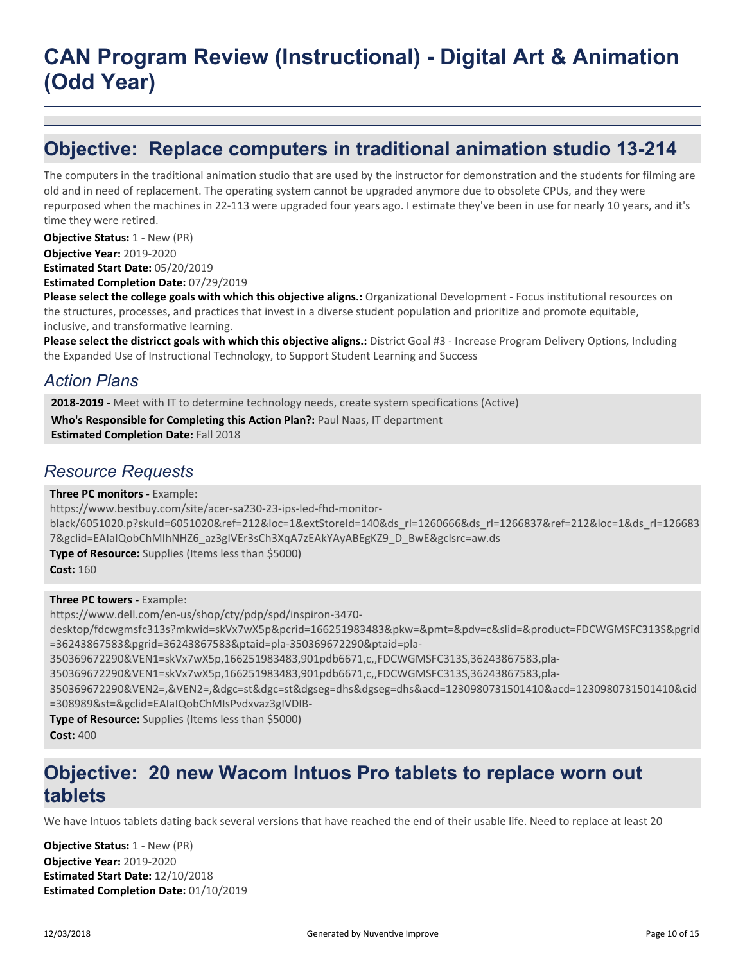## **Objective: Replace computers in traditional animation studio 13-214**

The computers in the traditional animation studio that are used by the instructor for demonstration and the students for filming are old and in need of replacement. The operating system cannot be upgraded anymore due to obsolete CPUs, and they were repurposed when the machines in 22-113 were upgraded four years ago. I estimate they've been in use for nearly 10 years, and it's time they were retired.

**Objective Year:** 2019-2020 **Estimated Start Date:** 05/20/2019 **Objective Status: 1 - New (PR)** 

**Estimated Completion Date:** 07/29/2019

**Please select the college goals with which this objective aligns.:** Organizational Development - Focus institutional resources on the structures, processes, and practices that invest in a diverse student population and prioritize and promote equitable, inclusive, and transformative learning.

**Please select the districct goals with which this objective aligns.:** District Goal #3 - Increase Program Delivery Options, Including the Expanded Use of Instructional Technology, to Support Student Learning and Success

### *Action Plans*

**2018-2019 -** Meet with IT to determine technology needs, create system specifications (Active)

**Who's Responsible for Completing this Action Plan?:** Paul Naas, IT department

**Estimated Completion Date:** Fall 2018

### *Resource Requests*

**Three PC monitors -** Example:

https://www.bestbuy.com/site/acer-sa230-23-ips-led-fhd-monitor-

black/6051020.p?skuId=6051020&ref=212&loc=1&extStoreId=140&ds\_rl=1260666&ds\_rl=1266837&ref=212&loc=1&ds\_rl=126683 7&gclid=EAIaIQobChMIhNHZ6\_az3gIVEr3sCh3XqA7zEAkYAyABEgKZ9\_D\_BwE&gclsrc=aw.ds

**Type of Resource:** Supplies (Items less than \$5000)

**Cost:** 160

**Three PC towers -** Example:

https://www.dell.com/en-us/shop/cty/pdp/spd/inspiron-3470-

desktop/fdcwgmsfc313s?mkwid=skVx7wX5p&pcrid=166251983483&pkw=&pmt=&pdv=c&slid=&product=FDCWGMSFC313S&pgrid =36243867583&pgrid=36243867583&ptaid=pla-350369672290&ptaid=pla-

350369672290&VEN1=skVx7wX5p,166251983483,901pdb6671,c,,FDCWGMSFC313S,36243867583,pla-

350369672290&VEN1=skVx7wX5p,166251983483,901pdb6671,c,,FDCWGMSFC313S,36243867583,pla-

350369672290&VEN2=,&VEN2=,&dgc=st&dgc=st&dgseg=dhs&dgseg=dhs&acd=1230980731501410&acd=1230980731501410&cid =308989&st=&gclid=EAIaIQobChMIsPvdxvaz3gIVDIB-

**Type of Resource:** Supplies (Items less than \$5000)

**Cost:** 400

## **Objective: 20 new Wacom Intuos Pro tablets to replace worn out tablets**

We have Intuos tablets dating back several versions that have reached the end of their usable life. Need to replace at least 20

**Objective Year:** 2019-2020 **Estimated Start Date:** 12/10/2018 **Estimated Completion Date:** 01/10/2019 **Objective Status:** 1 - New (PR)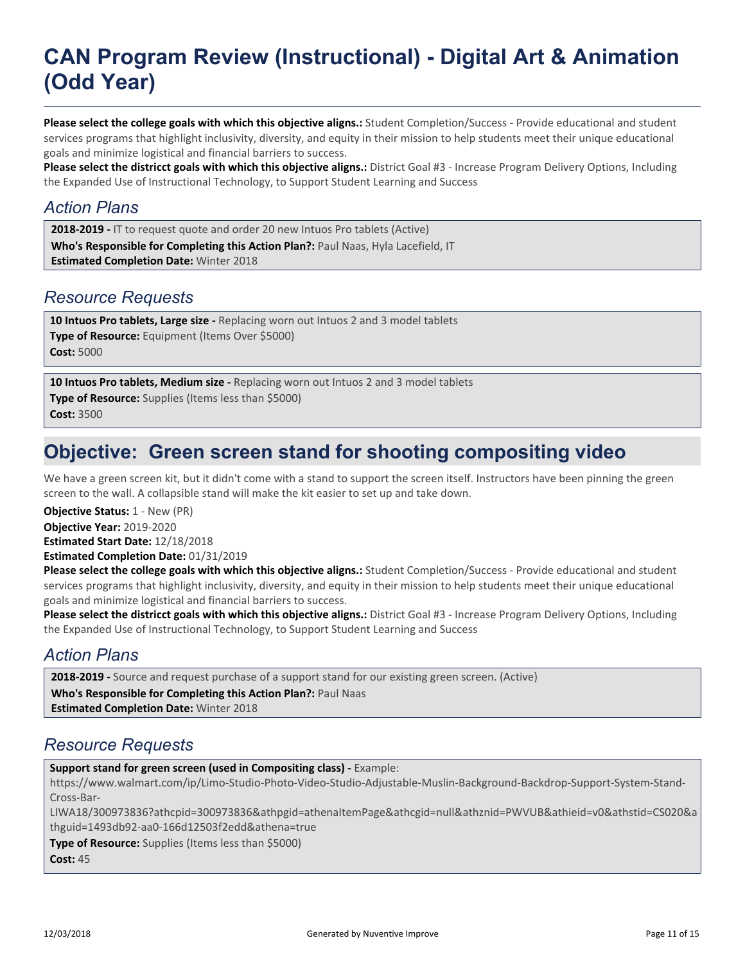**Please select the college goals with which this objective aligns.:** Student Completion/Success - Provide educational and student services programs that highlight inclusivity, diversity, and equity in their mission to help students meet their unique educational goals and minimize logistical and financial barriers to success.

**Please select the districct goals with which this objective aligns.:** District Goal #3 - Increase Program Delivery Options, Including the Expanded Use of Instructional Technology, to Support Student Learning and Success

#### *Action Plans*

**Who's Responsible for Completing this Action Plan?:** Paul Naas, Hyla Lacefield, IT **Estimated Completion Date:** Winter 2018 **2018-2019 -** IT to request quote and order 20 new Intuos Pro tablets (Active)

### *Resource Requests*

**Type of Resource:** Equipment (Items Over \$5000) **Cost:** 5000 **10 Intuos Pro tablets, Large size -** Replacing worn out Intuos 2 and 3 model tablets

**Type of Resource:** Supplies (Items less than \$5000) **Cost:** 3500 **10 Intuos Pro tablets, Medium size -** Replacing worn out Intuos 2 and 3 model tablets

## **Objective: Green screen stand for shooting compositing video**

We have a green screen kit, but it didn't come with a stand to support the screen itself. Instructors have been pinning the green screen to the wall. A collapsible stand will make the kit easier to set up and take down.

**Objective Year:** 2019-2020 **Estimated Start Date:** 12/18/2018 **Estimated Completion Date:** 01/31/2019 **Objective Status:** 1 - New (PR)

**Please select the college goals with which this objective aligns.:** Student Completion/Success - Provide educational and student services programs that highlight inclusivity, diversity, and equity in their mission to help students meet their unique educational goals and minimize logistical and financial barriers to success.

**Please select the districct goals with which this objective aligns.:** District Goal #3 - Increase Program Delivery Options, Including the Expanded Use of Instructional Technology, to Support Student Learning and Success

### *Action Plans*

**2018-2019 -** Source and request purchase of a support stand for our existing green screen. (Active)

**Who's Responsible for Completing this Action Plan?:** Paul Naas

**Estimated Completion Date:** Winter 2018

### *Resource Requests*

**Support stand for green screen (used in Compositing class) -** Example:

https://www.walmart.com/ip/Limo-Studio-Photo-Video-Studio-Adjustable-Muslin-Background-Backdrop-Support-System-Stand-Cross-Bar-

LIWA18/300973836?athcpid=300973836&athpgid=athenaItemPage&athcgid=null&athznid=PWVUB&athieid=v0&athstid=CS020&a thguid=1493db92-aa0-166d12503f2edd&athena=true

**Type of Resource:** Supplies (Items less than \$5000) **Cost:** 45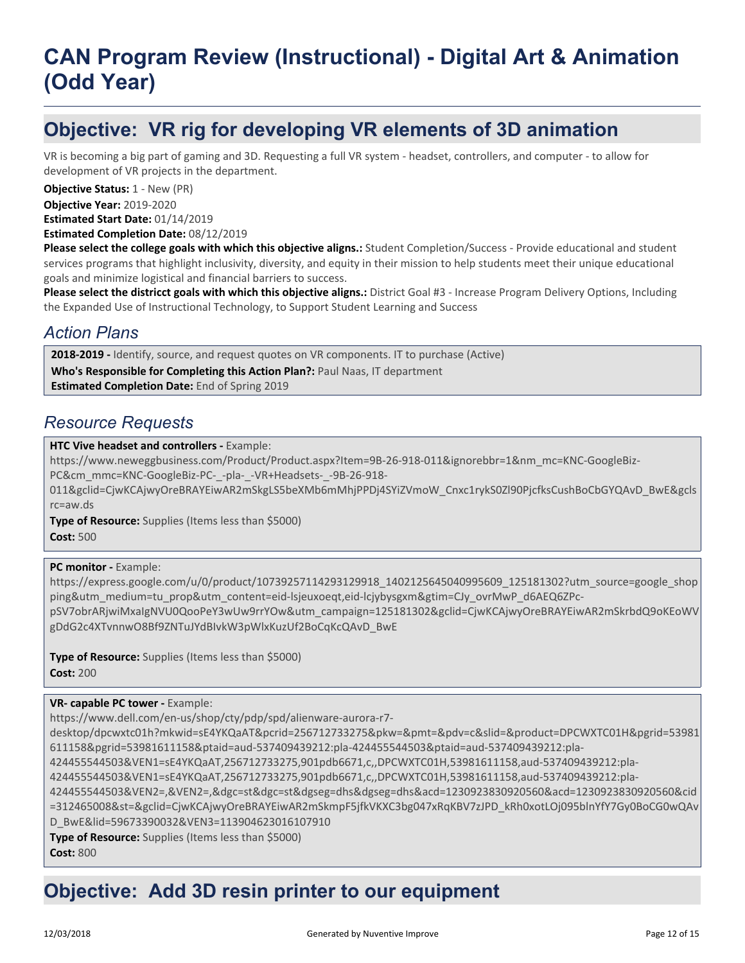# **Objective: VR rig for developing VR elements of 3D animation**

VR is becoming a big part of gaming and 3D. Requesting a full VR system - headset, controllers, and computer - to allow for development of VR projects in the department.

**Objective Year:** 2019-2020 **Objective Status: 1 - New (PR)** 

**Estimated Start Date:** 01/14/2019

**Estimated Completion Date:** 08/12/2019

**Please select the college goals with which this objective aligns.:** Student Completion/Success - Provide educational and student services programs that highlight inclusivity, diversity, and equity in their mission to help students meet their unique educational goals and minimize logistical and financial barriers to success.

**Please select the districct goals with which this objective aligns.:** District Goal #3 - Increase Program Delivery Options, Including the Expanded Use of Instructional Technology, to Support Student Learning and Success

### *Action Plans*

2018-2019 - Identify, source, and request quotes on VR components. IT to purchase (Active)

**Who's Responsible for Completing this Action Plan?:** Paul Naas, IT department

**Estimated Completion Date:** End of Spring 2019

#### *Resource Requests*

#### **HTC Vive headset and controllers -** Example:

https://www.neweggbusiness.com/Product/Product.aspx?Item=9B-26-918-011&ignorebbr=1&nm\_mc=KNC-GoogleBiz-PC&cm\_mmc=KNC-GoogleBiz-PC-\_-pla-\_-VR+Headsets-\_-9B-26-918-

011&gclid=CjwKCAjwyOreBRAYEiwAR2mSkgLS5beXMb6mMhjPPDj4SYiZVmoW\_Cnxc1rykS0Zl90PjcfksCushBoCbGYQAvD\_BwE&gcls rc=aw.ds

**Type of Resource:** Supplies (Items less than \$5000) **Cost:** 500

#### **PC monitor - Example:**

https://express.google.com/u/0/product/10739257114293129918\_1402125645040995609\_125181302?utm\_source=google\_shop ping&utm\_medium=tu\_prop&utm\_content=eid-lsjeuxoeqt,eid-lcjybysgxm&gtim=CJy\_ovrMwP\_d6AEQ6ZPc-

pSV7obrARjwiMxaIgNVU0QooPeY3wUw9rrYOw&utm\_campaign=125181302&gclid=CjwKCAjwyOreBRAYEiwAR2mSkrbdQ9oKEoWV gDdG2c4XTvnnwO8Bf9ZNTuJYdBIvkW3pWlxKuzUf2BoCqKcQAvD\_BwE

**Type of Resource:** Supplies (Items less than \$5000) **Cost:** 200

#### **VR- capable PC tower -** Example:

https://www.dell.com/en-us/shop/cty/pdp/spd/alienware-aurora-r7-

desktop/dpcwxtc01h?mkwid=sE4YKQaAT&pcrid=256712733275&pkw=&pmt=&pdv=c&slid=&product=DPCWXTC01H&pgrid=53981 611158&pgrid=53981611158&ptaid=aud-537409439212:pla-424455544503&ptaid=aud-537409439212:pla-

```
424455544503&VEN1=sE4YKQaAT,256712733275,901pdb6671,c,,DPCWXTC01H,53981611158,aud-537409439212:pla-
```
424455544503&VEN1=sE4YKQaAT,256712733275,901pdb6671,c,,DPCWXTC01H,53981611158,aud-537409439212:pla-

424455544503&VEN2=,&VEN2=,&dgc=st&dgc=st&dgseg=dhs&dgseg=dhs&acd=1230923830920560&acd=1230923830920560&cid =312465008&st=&gclid=CjwKCAjwyOreBRAYEiwAR2mSkmpF5jfkVKXC3bg047xRqKBV7zJPD\_kRh0xotLOj095blnYfY7Gy0BoCG0wQAv D\_BwE&lid=59673390032&VEN3=113904623016107910

**Type of Resource:** Supplies (Items less than \$5000)

**Cost:** 800

# **Objective: Add 3D resin printer to our equipment**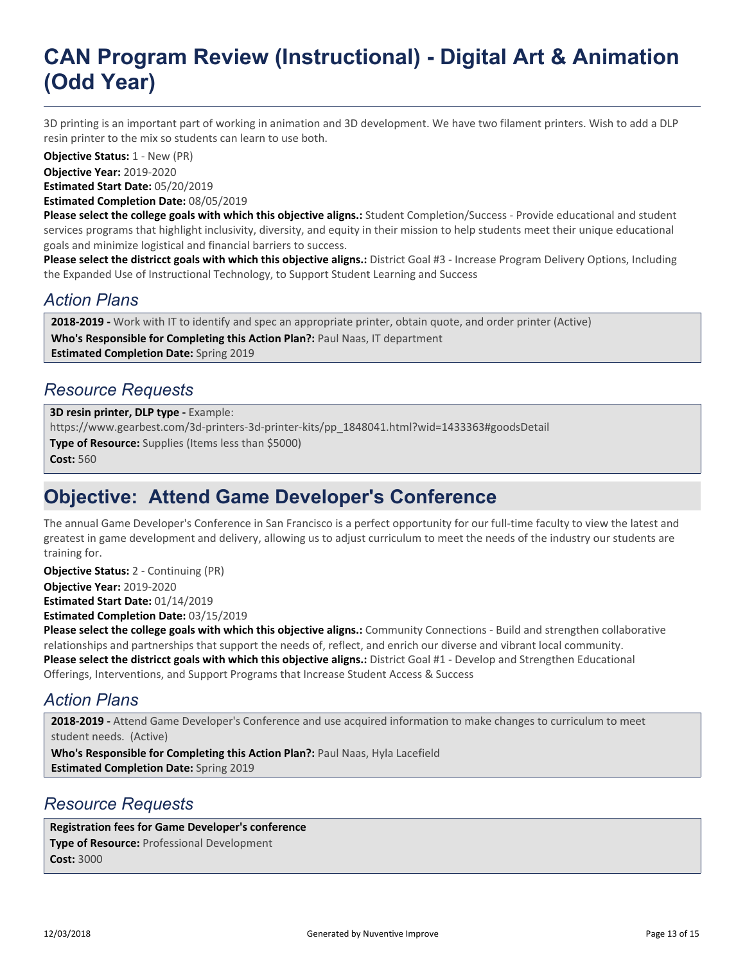3D printing is an important part of working in animation and 3D development. We have two filament printers. Wish to add a DLP resin printer to the mix so students can learn to use both.

**Objective Status:** 1 - New (PR)

**Objective Year:** 2019-2020

**Estimated Start Date:** 05/20/2019

**Estimated Completion Date:** 08/05/2019

**Please select the college goals with which this objective aligns.:** Student Completion/Success - Provide educational and student services programs that highlight inclusivity, diversity, and equity in their mission to help students meet their unique educational goals and minimize logistical and financial barriers to success.

**Please select the districct goals with which this objective aligns.:** District Goal #3 - Increase Program Delivery Options, Including the Expanded Use of Instructional Technology, to Support Student Learning and Success

### *Action Plans*

**2018-2019 -** Work with IT to identify and spec an appropriate printer, obtain quote, and order printer (Active)

**Who's Responsible for Completing this Action Plan?:** Paul Naas, IT department **Estimated Completion Date:** Spring 2019

### *Resource Requests*

**Type of Resource:** Supplies (Items less than \$5000) **Cost:** 560 **3D resin printer, DLP type -** Example: https://www.gearbest.com/3d-printers-3d-printer-kits/pp\_1848041.html?wid=1433363#goodsDetail

## **Objective: Attend Game Developer's Conference**

The annual Game Developer's Conference in San Francisco is a perfect opportunity for our full-time faculty to view the latest and greatest in game development and delivery, allowing us to adjust curriculum to meet the needs of the industry our students are training for.

**Objective Status:** 2 - Continuing (PR)

**Objective Year:** 2019-2020 **Estimated Start Date:** 01/14/2019

**Estimated Completion Date:** 03/15/2019

**Please select the college goals with which this objective aligns.:** Community Connections - Build and strengthen collaborative relationships and partnerships that support the needs of, reflect, and enrich our diverse and vibrant local community. **Please select the districct goals with which this objective aligns.:** District Goal #1 - Develop and Strengthen Educational Offerings, Interventions, and Support Programs that Increase Student Access & Success

## *Action Plans*

**2018-2019 -** Attend Game Developer's Conference and use acquired information to make changes to curriculum to meet student needs. (Active)

**Who's Responsible for Completing this Action Plan?:** Paul Naas, Hyla Lacefield **Estimated Completion Date:** Spring 2019

#### *Resource Requests*

**Type of Resource:** Professional Development **Cost:** 3000 **Registration fees for Game Developer's conference**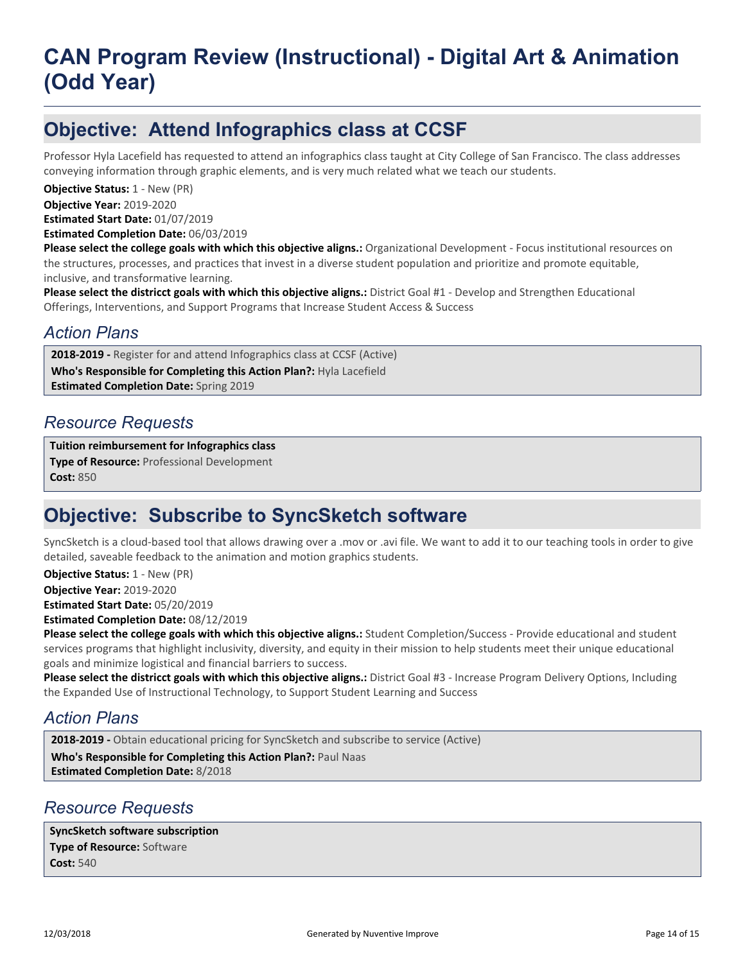# **Objective: Attend Infographics class at CCSF**

Professor Hyla Lacefield has requested to attend an infographics class taught at City College of San Francisco. The class addresses conveying information through graphic elements, and is very much related what we teach our students.

**Objective Year:** 2019-2020 **Estimated Start Date:** 01/07/2019 **Objective Status: 1 - New (PR)** 

**Estimated Completion Date:** 06/03/2019

**Please select the college goals with which this objective aligns.:** Organizational Development - Focus institutional resources on the structures, processes, and practices that invest in a diverse student population and prioritize and promote equitable, inclusive, and transformative learning.

**Please select the districct goals with which this objective aligns.:** District Goal #1 - Develop and Strengthen Educational Offerings, Interventions, and Support Programs that Increase Student Access & Success

#### *Action Plans*

2018-2019 - Register for and attend Infographics class at CCSF (Active)

**Who's Responsible for Completing this Action Plan?:** Hyla Lacefield

**Estimated Completion Date:** Spring 2019

#### *Resource Requests*

**Type of Resource:** Professional Development **Cost:** 850 **Tuition reimbursement for Infographics class**

## **Objective: Subscribe to SyncSketch software**

SyncSketch is a cloud-based tool that allows drawing over a .mov or .avi file. We want to add it to our teaching tools in order to give detailed, saveable feedback to the animation and motion graphics students.

**Objective Status:** 1 - New (PR)

**Objective Year:** 2019-2020

**Estimated Start Date:** 05/20/2019

**Estimated Completion Date:** 08/12/2019

**Please select the college goals with which this objective aligns.:** Student Completion/Success - Provide educational and student services programs that highlight inclusivity, diversity, and equity in their mission to help students meet their unique educational goals and minimize logistical and financial barriers to success.

**Please select the districct goals with which this objective aligns.:** District Goal #3 - Increase Program Delivery Options, Including the Expanded Use of Instructional Technology, to Support Student Learning and Success

#### *Action Plans*

**Who's Responsible for Completing this Action Plan?:** Paul Naas **Estimated Completion Date:** 8/2018 **2018-2019 -** Obtain educational pricing for SyncSketch and subscribe to service (Active)

#### *Resource Requests*

**Type of Resource:** Software **Cost:** 540 **SyncSketch software subscription**